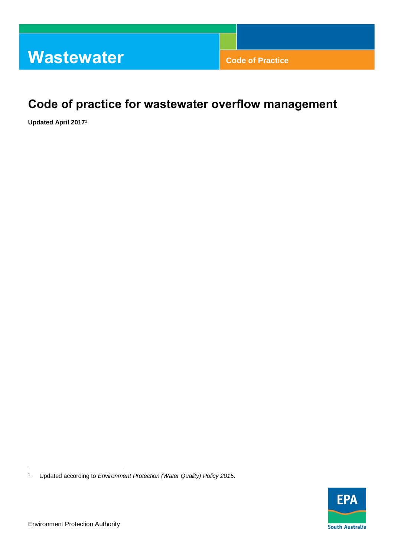# **Code of practice for wastewater overflow management**

 **Updated April 20171** 



 $\overline{a}$ 

 1 Updated according to *Environment Protection (Water Quality) Policy 2015.*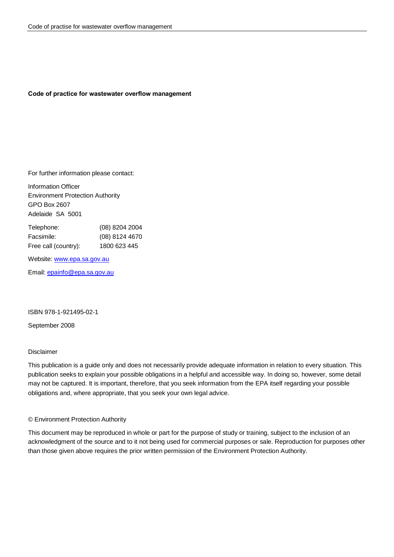### **Code of practice for wastewater overflow management**

For further information please contact:

 Information Officer Environment Protection Authority GPO Box 2607 Adelaide SA 5001

| Telephone:           | $(08)$ 8204 2004 |
|----------------------|------------------|
| Facsimile:           | (08) 8124 4670   |
| Free call (country): | 1800 623 445     |

Website: [www.epa.sa.gov.au](http://www.epa.sa.gov.au/) 

Email: [epainfo@epa.sa.gov.au](mailto:epainfo@epa.sa.gov.au) 

### ISBN 978-1-921495-02-1

September 2008

### Disclaimer

 This publication is a guide only and does not necessarily provide adequate information in relation to every situation. This publication seeks to explain your possible obligations in a helpful and accessible way. In doing so, however, some detail may not be captured. It is important, therefore, that you seek information from the EPA itself regarding your possible obligations and, where appropriate, that you seek your own legal advice.

### © Environment Protection Authority

 This document may be reproduced in whole or part for the purpose of study or training, subject to the inclusion of an acknowledgment of the source and to it not being used for commercial purposes or sale. Reproduction for purposes other than those given above requires the prior written permission of the Environment Protection Authority.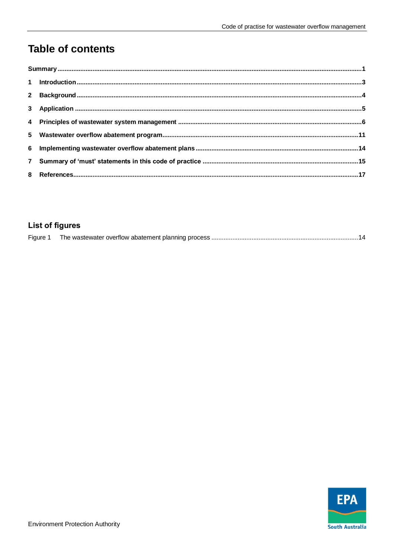# **Table of contents**

# **List of figures**

|--|--|--|

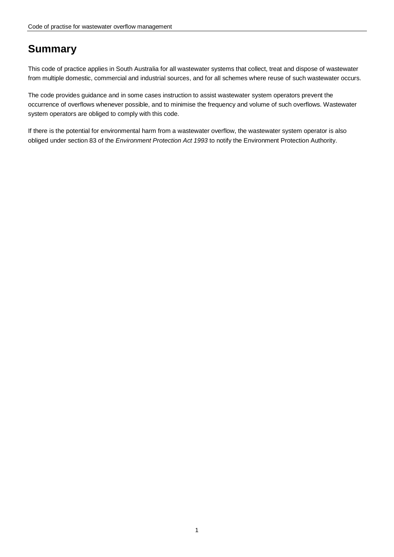# <span id="page-4-0"></span>**Summary**

 This code of practice applies in South Australia for all wastewater systems that collect, treat and dispose of wastewater from multiple domestic, commercial and industrial sources, and for all schemes where reuse of such wastewater occurs.

 The code provides guidance and in some cases instruction to assist wastewater system operators prevent the occurrence of overflows whenever possible, and to minimise the frequency and volume of such overflows. Wastewater system operators are obliged to comply with this code.

 If there is the potential for environmental harm from a wastewater overflow, the wastewater system operator is also obliged under section 83 of the *Environment Protection Act 1993* to notify the Environment Protection Authority.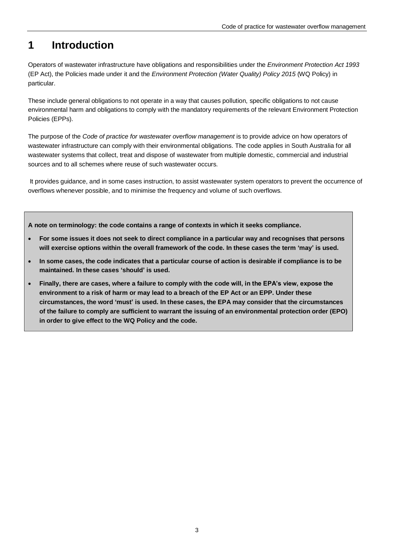#### <span id="page-6-0"></span>**1 Introduction**

 Operators of wastewater infrastructure have obligations and responsibilities under the *Environment Protection Act 1993*  (EP Act), the Policies made under it and the *Environment Protection (Water Quality) Policy 2015* (WQ Policy) in particular.

particular.<br>These include general obligations to not operate in a way that causes pollution, specific obligations to not cause environmental harm and obligations to comply with the mandatory requirements of the relevant Environment Protection Policies (EPPs).

 The purpose of the *Code of practice for wastewater overflow management* is to provide advice on how operators of wastewater infrastructure can comply with their environmental obligations. The code applies in South Australia for all wastewater systems that collect, treat and dispose of wastewater from multiple domestic, commercial and industrial sources and to all schemes where reuse of such wastewater occurs.

 It provides guidance, and in some cases instruction, to assist wastewater system operators to prevent the occurrence of overflows whenever possible, and to minimise the frequency and volume of such overflows.

 **A note on terminology: the code contains a range of contexts in which it seeks compliance.** 

- **For some issues it does not seek to direct compliance in a particular way and recognises that persons will exercise options within the overall framework of the code. In these cases the term 'may' is used.**
- **In some cases, the code indicates that a particular course of action is desirable if compliance is to be maintained. In these cases 'should' is used.**
- **Finally, there are cases, where a failure to comply with the code will, in the EPA's view, expose the environment to a risk of harm or may lead to a breach of the EP Act or an EPP. Under these circumstances, the word 'must' is used. In these cases, the EPA may consider that the circumstances of the failure to comply are sufficient to warrant the issuing of an environmental protection order (EPO) in order to give effect to the WQ Policy and the code.**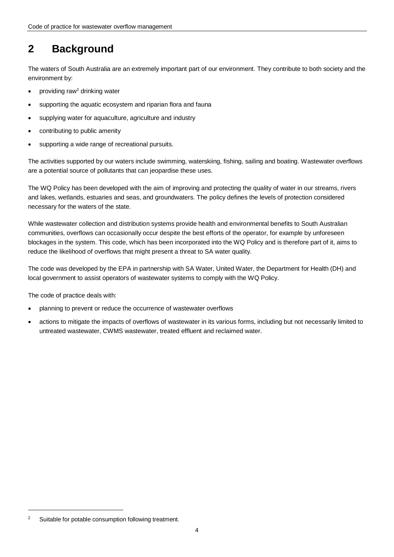### <span id="page-7-0"></span>**2 Background**

 The waters of South Australia are an extremely important part of our environment. They contribute to both society and the environment by:

- providing raw<sup>2</sup> drinking water
- supporting the aquatic ecosystem and riparian flora and fauna
- supplying water for aquaculture, agriculture and industry
- contributing to public amenity
- supporting a wide range of recreational pursuits.

 The activities supported by our waters include swimming, waterskiing, fishing, sailing and boating. Wastewater overflows are a potential source of pollutants that can jeopardise these uses.

 The WQ Policy has been developed with the aim of improving and protecting the quality of water in our streams, rivers and lakes, wetlands, estuaries and seas, and groundwaters. The policy defines the levels of protection considered necessary for the waters of the state.

 While wastewater collection and distribution systems provide health and environmental benefits to South Australian communities, overflows can occasionally occur despite the best efforts of the operator, for example by unforeseen blockages in the system. This code, which has been incorporated into the WQ Policy and is therefore part of it, aims to reduce the likelihood of overflows that might present a threat to SA water quality.

 The code was developed by the EPA in partnership with SA Water, United Water, the Department for Health (DH) and local government to assist operators of wastewater systems to comply with the WQ Policy.

The code of practice deals with:

- planning to prevent or reduce the occurrence of wastewater overflows
- untreated wastewater, CWMS wastewater, treated effluent and reclaimed water. actions to mitigate the impacts of overflows of wastewater in its various forms, including but not necessarily limited to

 $\overline{a}$ 

 2 Suitable for potable consumption following treatment.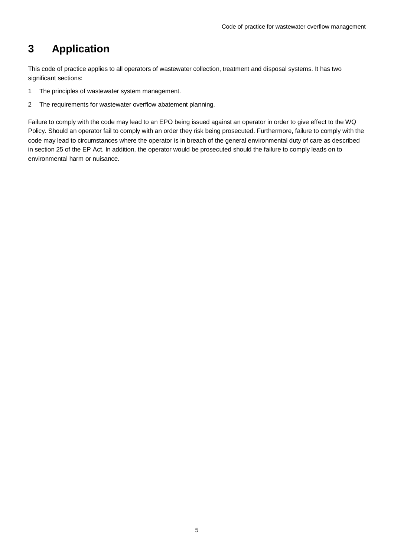#### <span id="page-8-0"></span>**3 Application**

 This code of practice applies to all operators of wastewater collection, treatment and disposal systems. It has two significant sections:

- $\overline{1}$ The principles of wastewater system management.
- $\sqrt{2}$ The requirements for wastewater overflow abatement planning.

 Failure to comply with the code may lead to an EPO being issued against an operator in order to give effect to the WQ Policy. Should an operator fail to comply with an order they risk being prosecuted. Furthermore, failure to comply with the code may lead to circumstances where the operator is in breach of the general environmental duty of care as described in section 25 of the EP Act. In addition, the operator would be prosecuted should the failure to comply leads on to environmental harm or nuisance.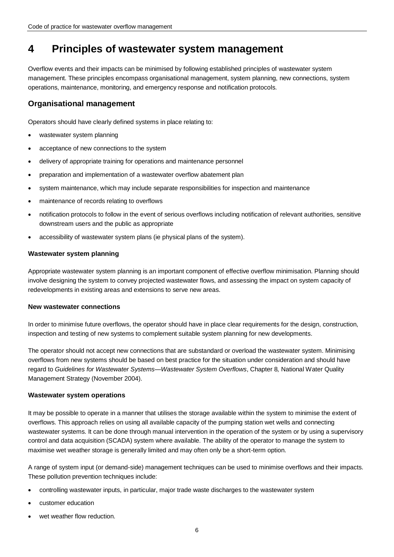#### <span id="page-9-0"></span> **Principles of wastewater system management 4**

 Overflow events and their impacts can be minimised by following established principles of wastewater system management. These principles encompass organisational management, system planning, new connections, system operations, maintenance, monitoring, and emergency response and notification protocols.

# **Organisational management**

Operators should have clearly defined systems in place relating to:

- wastewater system planning
- acceptance of new connections to the system
- delivery of appropriate training for operations and maintenance personnel
- preparation and implementation of a wastewater overflow abatement plan
- system maintenance, which may include separate responsibilities for inspection and maintenance
- maintenance of records relating to overflows
- notification protocols to follow in the event of serious overflows including notification of relevant authorities, sensitive downstream users and the public as appropriate
- accessibility of wastewater system plans (ie physical plans of the system).

## **Wastewater system planning**

 Appropriate wastewater system planning is an important component of effective overflow minimisation. Planning should involve designing the system to convey projected wastewater flows, and assessing the impact on system capacity of redevelopments in existing areas and extensions to serve new areas.

### **New wastewater connections**

 In order to minimise future overflows, the operator should have in place clear requirements for the design, construction, inspection and testing of new systems to complement suitable system planning for new developments.

 The operator should not accept new connections that are substandard or overload the wastewater system. Minimising overflows from new systems should be based on best practice for the situation under consideration and should have regard to *Guidelines for Wastewater Systems—Wastewater System Overflows*, Chapter 8*,* National Water Quality Management Strategy (November 2004).

## **Wastewater system operations**

 It may be possible to operate in a manner that utilises the storage available within the system to minimise the extent of overflows. This approach relies on using all available capacity of the pumping station wet wells and connecting wastewater systems. It can be done through manual intervention in the operation of the system or by using a supervisory control and data acquisition (SCADA) system where available. The ability of the operator to manage the system to maximise wet weather storage is generally limited and may often only be a short-term option.

 A range of system input (or demand-side) management techniques can be used to minimise overflows and their impacts. These pollution prevention techniques include:

- controlling wastewater inputs, in particular, major trade waste discharges to the wastewater system
- customer education
- wet weather flow reduction.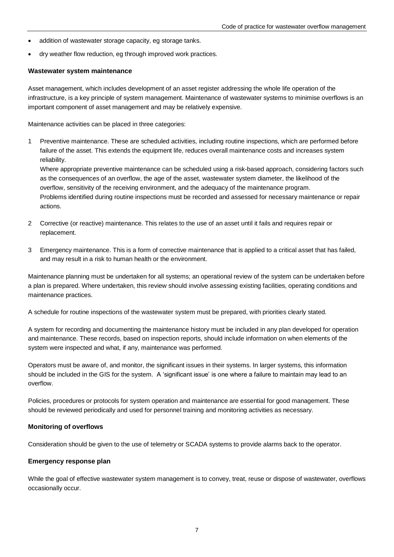- $\bullet$  addition of wastewater storage capacity, eg storage tanks.
- dry weather flow reduction, eg through improved work practices.

### **Wastewater system maintenance**

 Asset management, which includes development of an asset register addressing the whole life operation of the infrastructure, is a key principle of system management. Maintenance of wastewater systems to minimise overflows is an important component of asset management and may be relatively expensive.

Maintenance activities can be placed in three categories:

 1 Preventive maintenance. These are scheduled activities, including routine inspections, which are performed before failure of the asset. This extends the equipment life, reduces overall maintenance costs and increases system reliability.

reliability.<br>Where appropriate preventive maintenance can be scheduled using a risk-based approach, considering factors such as the consequences of an overflow, the age of the asset, wastewater system diameter, the likelihood of the overflow, sensitivity of the receiving environment, and the adequacy of the maintenance program. Problems identified during routine inspections must be recorded and assessed for necessary maintenance or repair actions.

- 2 Corrective (or reactive) maintenance. This relates to the use of an asset until it fails and requires repair or replacement.
- 3 Emergency maintenance. This is a form of corrective maintenance that is applied to a critical asset that has failed, and may result in a risk to human health or the environment.

 Maintenance planning must be undertaken for all systems; an operational review of the system can be undertaken before a plan is prepared. Where undertaken, this review should involve assessing existing facilities, operating conditions and maintenance practices.

A schedule for routine inspections of the wastewater system must be prepared, with priorities clearly stated.

 A system for recording and documenting the maintenance history must be included in any plan developed for operation and maintenance. These records, based on inspection reports, should include information on when elements of the system were inspected and what, if any, maintenance was performed.

 Operators must be aware of, and monitor, the significant issues in their systems. In larger systems, this information should be included in the GIS for the system. A 'significant issue' is one where a failure to maintain may lead to an overflow.

 Policies, procedures or protocols for system operation and maintenance are essential for good management. These should be reviewed periodically and used for personnel training and monitoring activities as necessary.

### **Monitoring of overflows**

Consideration should be given to the use of telemetry or SCADA systems to provide alarms back to the operator.

### **Emergency response plan**

 While the goal of effective wastewater system management is to convey, treat, reuse or dispose of wastewater, overflows occasionally occur.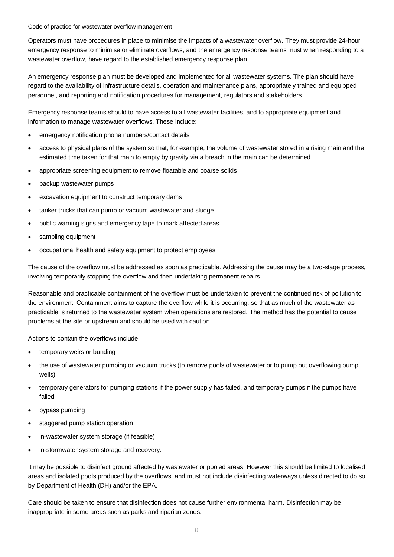Operators must have procedures in place to minimise the impacts of a wastewater overflow. They must provide 24-hour emergency response to minimise or eliminate overflows, and the emergency response teams must when responding to a wastewater overflow, have regard to the established emergency response plan.

 An emergency response plan must be developed and implemented for all wastewater systems. The plan should have regard to the availability of infrastructure details, operation and maintenance plans, appropriately trained and equipped personnel, and reporting and notification procedures for management, regulators and stakeholders.

 Emergency response teams should to have access to all wastewater facilities, and to appropriate equipment and information to manage wastewater overflows. These include:

- emergency notification phone numbers/contact details
- $\bullet$  estimated time taken for that main to empty by gravity via a breach in the main can be determined. access to physical plans of the system so that, for example, the volume of wastewater stored in a rising main and the
- appropriate screening equipment to remove floatable and coarse solids
- $\bullet$ backup wastewater pumps
- excavation equipment to construct temporary dams
- tanker trucks that can pump or vacuum wastewater and sludge
- public warning signs and emergency tape to mark affected areas
- $\bullet$ sampling equipment
- occupational health and safety equipment to protect employees.

 The cause of the overflow must be addressed as soon as practicable. Addressing the cause may be a two-stage process, involving temporarily stopping the overflow and then undertaking permanent repairs.

 Reasonable and practicable containment of the overflow must be undertaken to prevent the continued risk of pollution to the environment. Containment aims to capture the overflow while it is occurring, so that as much of the wastewater as practicable is returned to the wastewater system when operations are restored. The method has the potential to cause problems at the site or upstream and should be used with caution.

Actions to contain the overflows include:

- temporary weirs or bunding
- the use of wastewater pumping or vacuum trucks (to remove pools of wastewater or to pump out overflowing pump wells)
- temporary generators for pumping stations if the power supply has failed, and temporary pumps if the pumps have failed
- bypass pumping
- staggered pump station operation
- in-wastewater system storage (if feasible)
- in-stormwater system storage and recovery.

 It may be possible to disinfect ground affected by wastewater or pooled areas. However this should be limited to localised areas and isolated pools produced by the overflows, and must not include disinfecting waterways unless directed to do so by Department of Health (DH) and/or the EPA.

 Care should be taken to ensure that disinfection does not cause further environmental harm. Disinfection may be inappropriate in some areas such as parks and riparian zones.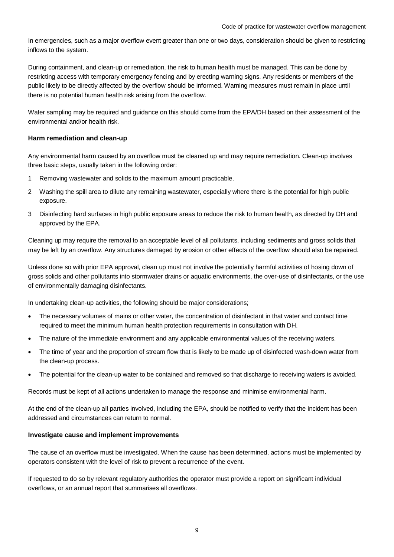In emergencies, such as a major overflow event greater than one or two days, consideration should be given to restricting inflows to the system.

 During containment, and clean-up or remediation, the risk to human health must be managed. This can be done by restricting access with temporary emergency fencing and by erecting warning signs. Any residents or members of the public likely to be directly affected by the overflow should be informed. Warning measures must remain in place until there is no potential human health risk arising from the overflow.

 Water sampling may be required and guidance on this should come from the EPA/DH based on their assessment of the environmental and/or health risk.

## **Harm remediation and clean-up**

 Any environmental harm caused by an overflow must be cleaned up and may require remediation. Clean-up involves three basic steps, usually taken in the following order:

- 1 Removing wastewater and solids to the maximum amount practicable.
- 2 Washing the spill area to dilute any remaining wastewater, especially where there is the potential for high public exposure.
- 3 Disinfecting hard surfaces in high public exposure areas to reduce the risk to human health, as directed by DH and approved by the EPA.

 Cleaning up may require the removal to an acceptable level of all pollutants, including sediments and gross solids that may be left by an overflow. Any structures damaged by erosion or other effects of the overflow should also be repaired.

 Unless done so with prior EPA approval, clean up must not involve the potentially harmful activities of hosing down of gross solids and other pollutants into stormwater drains or aquatic environments, the over-use of disinfectants, or the use of environmentally damaging disinfectants.

In undertaking clean-up activities, the following should be major considerations;

- $\bullet$  required to meet the minimum human health protection requirements in consultation with DH. The necessary volumes of mains or other water, the concentration of disinfectant in that water and contact time
- The nature of the immediate environment and any applicable environmental values of the receiving waters.
- $\bullet$  the clean-up process. The time of year and the proportion of stream flow that is likely to be made up of disinfected wash-down water from
- $\bullet$  The potential for the clean-up water to be contained and removed so that discharge to receiving waters is avoided.

Records must be kept of all actions undertaken to manage the response and minimise environmental harm.

 At the end of the clean-up all parties involved, including the EPA, should be notified to verify that the incident has been addressed and circumstances can return to normal.

### **Investigate cause and implement improvements**

 The cause of an overflow must be investigated. When the cause has been determined, actions must be implemented by operators consistent with the level of risk to prevent a recurrence of the event.

 If requested to do so by relevant regulatory authorities the operator must provide a report on significant individual overflows, or an annual report that summarises all overflows.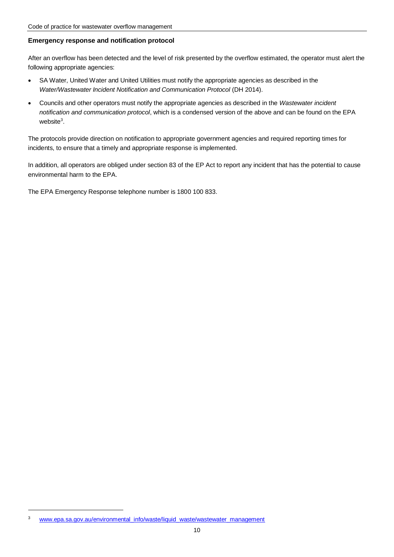# **Emergency response and notification protocol**

 After an overflow has been detected and the level of risk presented by the overflow estimated, the operator must alert the following appropriate agencies:

- $\bullet$  *Water/Wastewater Incident Notification and Communication Protocol* (DH 2014). SA Water, United Water and United Utilities must notify the appropriate agencies as described in the
- $\bullet$  *notification and communication protocol*, which is a condensed version of the above and can be found on the EPA Councils and other operators must notify the appropriate agencies as described in the *Wastewater incident*  website $^3$ .

 The protocols provide direction on notification to appropriate government agencies and required reporting times for incidents, to ensure that a timely and appropriate response is implemented.

 In addition, all operators are obliged under section 83 of the EP Act to report any incident that has the potential to cause environmental harm to the EPA.

The EPA Emergency Response telephone number is 1800 100 833.

 $\overline{a}$ 

 3 www.epa.sa.gov.au/environmental\_info/waste/liquid\_waste/wastewater\_management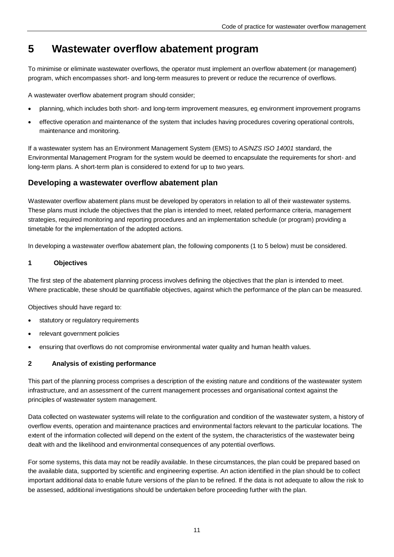#### <span id="page-14-0"></span> **Wastewater overflow abatement program 5**

 To minimise or eliminate wastewater overflows, the operator must implement an overflow abatement (or management) program, which encompasses short- and long-term measures to prevent or reduce the recurrence of overflows.

A wastewater overflow abatement program should consider;

- planning, which includes both short- and long-term improvement measures, eg environment improvement programs
- $\bullet$  maintenance and monitoring. effective operation and maintenance of the system that includes having procedures covering operational controls,

 If a wastewater system has an Environment Management System (EMS) to *AS/NZS ISO 14001* standard, the Environmental Management Program for the system would be deemed to encapsulate the requirements for short- and long-term plans. A short-term plan is considered to extend for up to two years.

# **Developing a wastewater overflow abatement plan**

 Wastewater overflow abatement plans must be developed by operators in relation to all of their wastewater systems. These plans must include the objectives that the plan is intended to meet, related performance criteria, management strategies, required monitoring and reporting procedures and an implementation schedule (or program) providing a timetable for the implementation of the adopted actions.

In developing a wastewater overflow abatement plan, the following components (1 to 5 below) must be considered.

#### **1 Objectives**

 The first step of the abatement planning process involves defining the objectives that the plan is intended to meet. Where practicable, these should be quantifiable objectives, against which the performance of the plan can be measured.

Objectives should have regard to:

- $\bullet$  statutory or regulatory requirements
- $\bullet$  relevant government policies
- $\bullet$  ensuring that overflows do not compromise environmental water quality and human health values.

# **2 Analysis of existing performance**

 This part of the planning process comprises a description of the existing nature and conditions of the wastewater system infrastructure, and an assessment of the current management processes and organisational context against the principles of wastewater system management.

 Data collected on wastewater systems will relate to the configuration and condition of the wastewater system, a history of overflow events, operation and maintenance practices and environmental factors relevant to the particular locations. The extent of the information collected will depend on the extent of the system, the characteristics of the wastewater being dealt with and the likelihood and environmental consequences of any potential overflows.

 For some systems, this data may not be readily available. In these circumstances, the plan could be prepared based on the available data, supported by scientific and engineering expertise. An action identified in the plan should be to collect important additional data to enable future versions of the plan to be refined. If the data is not adequate to allow the risk to be assessed, additional investigations should be undertaken before proceeding further with the plan.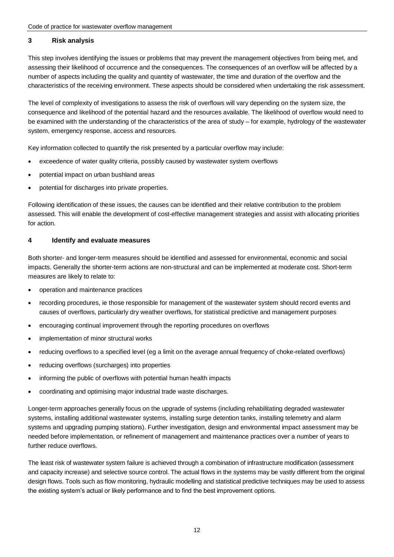#### **3 Risk analysis**

 This step involves identifying the issues or problems that may prevent the management objectives from being met, and assessing their likelihood of occurrence and the consequences. The consequences of an overflow will be affected by a number of aspects including the quality and quantity of wastewater, the time and duration of the overflow and the characteristics of the receiving environment. These aspects should be considered when undertaking the risk assessment.

 The level of complexity of investigations to assess the risk of overflows will vary depending on the system size, the consequence and likelihood of the potential hazard and the resources available. The likelihood of overflow would need to be examined with the understanding of the characteristics of the area of study – for example, hydrology of the wastewater system, emergency response, access and resources.

Key information collected to quantify the risk presented by a particular overflow may include:

- exceedence of water quality criteria, possibly caused by wastewater system overflows
- potential impact on urban bushland areas
- potential for discharges into private properties.

 Following identification of these issues, the causes can be identified and their relative contribution to the problem assessed. This will enable the development of cost-effective management strategies and assist with allocating priorities for action.

## **4 Identify and evaluate measures**

 Both shorter- and longer-term measures should be identified and assessed for environmental, economic and social impacts. Generally the shorter-term actions are non-structural and can be implemented at moderate cost. Short-term measures are likely to relate to:

- operation and maintenance practices
- recording procedures, ie those responsible for management of the wastewater system should record events and causes of overflows, particularly dry weather overflows, for statistical predictive and management purposes
- encouraging continual improvement through the reporting procedures on overflows
- implementation of minor structural works
- $\bullet$  reducing overflows to a specified level (eg a limit on the average annual frequency of choke-related overflows)
- reducing overflows (surcharges) into properties
- informing the public of overflows with potential human health impacts
- coordinating and optimising major industrial trade waste discharges.

 Longer-term approaches generally focus on the upgrade of systems (including rehabilitating degraded wastewater systems, installing additional wastewater systems, installing surge detention tanks, installing telemetry and alarm systems and upgrading pumping stations). Further investigation, design and environmental impact assessment may be needed before implementation, or refinement of management and maintenance practices over a number of years to further reduce overflows.

 The least risk of wastewater system failure is achieved through a combination of infrastructure modification (assessment and capacity increase) and selective source control. The actual flows in the systems may be vastly different from the original design flows. Tools such as flow monitoring, hydraulic modelling and statistical predictive techniques may be used to assess the existing system's actual or likely performance and to find the best improvement options.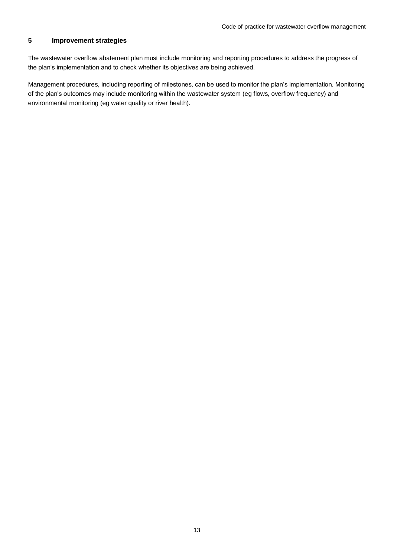#### **Improvement strategies 5**

 The wastewater overflow abatement plan must include monitoring and reporting procedures to address the progress of the plan's implementation and to check whether its objectives are being achieved.

 Management procedures, including reporting of milestones, can be used to monitor the plan's implementation. Monitoring of the plan's outcomes may include monitoring within the wastewater system (eg flows, overflow frequency) and environmental monitoring (eg water quality or river health).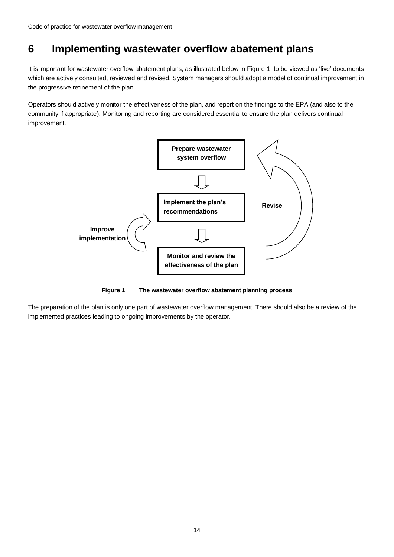#### <span id="page-17-0"></span> **Implementing wastewater overflow abatement plans 6**

 It is important for wastewater overflow abatement plans, as illustrated below in Figure 1, to be viewed as 'live' documents which are actively consulted, reviewed and revised. System managers should adopt a model of continual improvement in the progressive refinement of the plan.

 Operators should actively monitor the effectiveness of the plan, and report on the findings to the EPA (and also to the community if appropriate). Monitoring and reporting are considered essential to ensure the plan delivers continual improvement.



**Figure 1** The wastewater overflow abatement planning process

<span id="page-17-1"></span> The preparation of the plan is only one part of wastewater overflow management. There should also be a review of the implemented practices leading to ongoing improvements by the operator.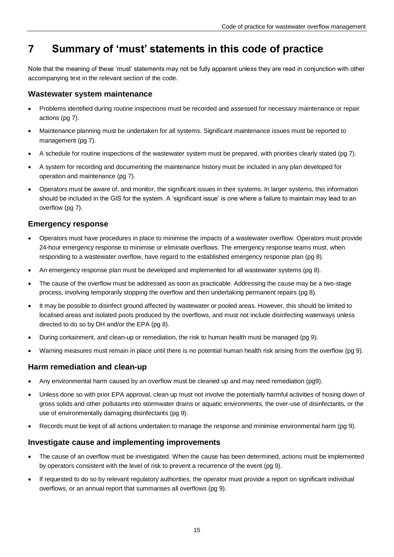#### <span id="page-18-0"></span> **Summary of 'must' statements in this code of practice 7**

 Note that the meaning of these 'must' statements may not be fully apparent unless they are read in conjunction with other accompanying text in the relevant section of the code.

# **Wastewater system maintenance**

- Problems identified during routine inspections must be recorded and assessed for necessary maintenance or repair actions (pg 7).
- Maintenance planning must be undertaken for all systems. Significant maintenance issues must be reported to management (pg 7).
- $\bullet$  A schedule for routine inspections of the wastewater system must be prepared, with priorities clearly stated (pg 7).
- $\bullet$  operation and maintenance (pg 7). A system for recording and documenting the maintenance history must be included in any plan developed for
- Operators must be aware of, and monitor, the significant issues in their systems. In larger systems, this information should be included in the GIS for the system. A 'significant issue' is one where a failure to maintain may lead to an overflow (pg 7).

# **Emergency response**

- Operators must have procedures in place to minimise the impacts of a wastewater overflow. Operators must provide 24-hour emergency response to minimise or eliminate overflows. The emergency response teams must, when responding to a wastewater overflow, have regard to the established emergency response plan (pg 8).
- $\bullet$  An emergency response plan must be developed and implemented for all wastewater systems (pg 8).
- process, involving temporarily stopping the overflow and then undertaking permanent repairs (pg 8). • The cause of the overflow must be addressed as soon as practicable. Addressing the cause may be a two-stage
- $\bullet$  localised areas and isolated pools produced by the overflows, and must not include disinfecting waterways unless directed to do so by DH and/or the EPA (pg 8). It may be possible to disinfect ground affected by wastewater or pooled areas. However, this should be limited to
- During containment, and clean-up or remediation, the risk to human health must be managed (pg 9).
- Warning measures must remain in place until there is no potential human health risk arising from the overflow (pg 9).

# **Harm remediation and clean-up**

- Any environmental harm caused by an overflow must be cleaned up and may need remediation (pg9).
- gross solids and other pollutants into stormwater drains or aquatic environments, the over-use of disinfectants, or the use of environmentally damaging disinfectants (pg 9). Unless done so with prior EPA approval, clean up must not involve the potentially harmful activities of hosing down of
- Records must be kept of all actions undertaken to manage the response and minimise environmental harm (pg 9).

# **Investigate cause and implementing improvements**

- $\bullet$  by operators consistent with the level of risk to prevent a recurrence of the event (pg 9). The cause of an overflow must be investigated. When the cause has been determined, actions must be implemented
- $\bullet$  overflows, or an annual report that summarises all overflows (pg 9). If requested to do so by relevant regulatory authorities, the operator must provide a report on significant individual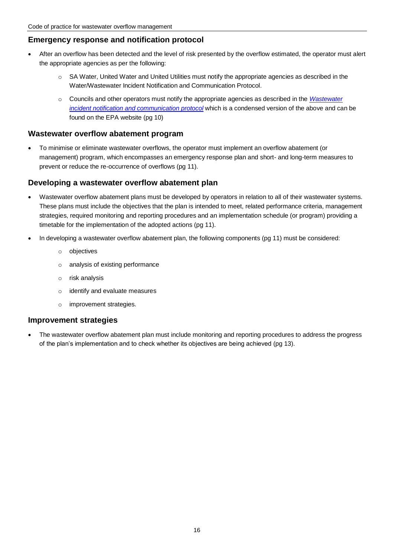# **Emergency response and notification protocol**

- the appropriate agencies as per the following: After an overflow has been detected and the level of risk presented by the overflow estimated, the operator must alert
	- $\circ$  SA Water, United Water and United Utilities must notify the appropriate agencies as described in the Water/Wastewater Incident Notification and Communication Protocol.
	- $\circ$  Councils and other operators must notify the appropriate agencies as described in the *Wastewater incident notification and communication protocol* which is a condensed version of the above and can be found on the EPA website (pg 10)

# **Wastewater overflow abatement program**

 $\bullet$  management) program, which encompasses an emergency response plan and short- and long-term measures to prevent or reduce the re-occurrence of overflows (pg 11). To minimise or eliminate wastewater overflows, the operator must implement an overflow abatement (or

# **Developing a wastewater overflow abatement plan**

- Wastewater overflow abatement plans must be developed by operators in relation to all of their wastewater systems. These plans must include the objectives that the plan is intended to meet, related performance criteria, management strategies, required monitoring and reporting procedures and an implementation schedule (or program) providing a timetable for the implementation of the adopted actions (pg 11).
- In developing a wastewater overflow abatement plan, the following components (pg 11) must be considered:
	- o objectives
	- $\circ$  analysis of existing performance
	- $\circ$  risk analysis
	- $\circ$  identify and evaluate measures
	- o improvement strategies.

## **Improvement strategies**

 of the plan's implementation and to check whether its objectives are being achieved (pg 13). The wastewater overflow abatement plan must include monitoring and reporting procedures to address the progress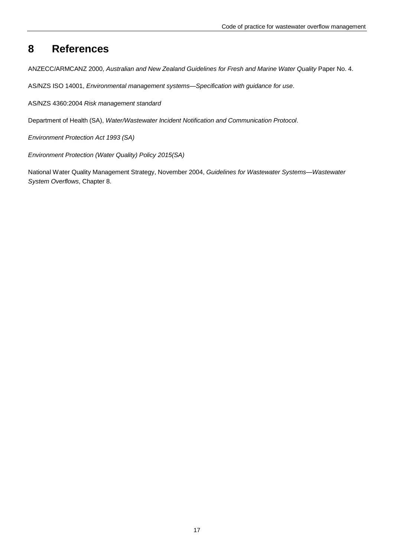#### <span id="page-20-0"></span>**8 References**

ANZECC/ARMCANZ 2000, *Australian and New Zealand Guidelines for Fresh and Marine Water Quality* Paper No. 4.

AS/NZS ISO 14001, *Environmental management systems*—*Specification with guidance for use*.

AS/NZS 4360:2004 *Risk management standard*

Department of Health (SA), *Water/Wastewater Incident Notification and Communication Protocol*.

 *Environment Protection Act 1993 (SA)*

 *Environment Protection (Water Quality) Policy 2015(SA)*

 National Water Quality Management Strategy, November 2004, *Guidelines for Wastewater Systems—Wastewater System Overflows*, Chapter 8.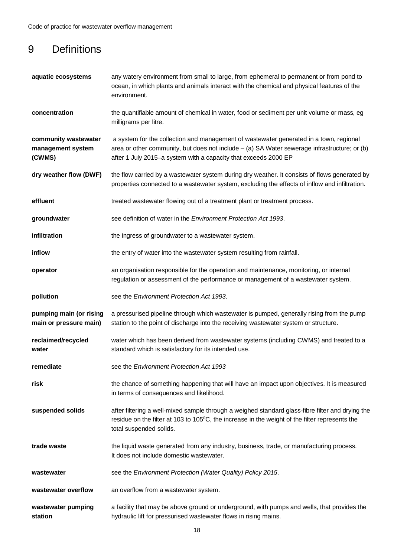# 9 Definitions

| aquatic ecosystems                                  | any watery environment from small to large, from ephemeral to permanent or from pond to<br>ocean, in which plants and animals interact with the chemical and physical features of the<br>environment.                                                     |
|-----------------------------------------------------|-----------------------------------------------------------------------------------------------------------------------------------------------------------------------------------------------------------------------------------------------------------|
| concentration                                       | the quantifiable amount of chemical in water, food or sediment per unit volume or mass, eg<br>milligrams per litre.                                                                                                                                       |
| community wastewater<br>management system<br>(CWMS) | a system for the collection and management of wastewater generated in a town, regional<br>area or other community, but does not include - (a) SA Water sewerage infrastructure; or (b)<br>after 1 July 2015-a system with a capacity that exceeds 2000 EP |
| dry weather flow (DWF)                              | the flow carried by a wastewater system during dry weather. It consists of flows generated by<br>properties connected to a wastewater system, excluding the effects of inflow and infiltration.                                                           |
| effluent                                            | treated wastewater flowing out of a treatment plant or treatment process.                                                                                                                                                                                 |
| groundwater                                         | see definition of water in the <i>Environment Protection Act 1993</i> .                                                                                                                                                                                   |
| infiltration                                        | the ingress of groundwater to a wastewater system.                                                                                                                                                                                                        |
| inflow                                              | the entry of water into the wastewater system resulting from rainfall.                                                                                                                                                                                    |
| operator                                            | an organisation responsible for the operation and maintenance, monitoring, or internal<br>regulation or assessment of the performance or management of a wastewater system.                                                                               |
| pollution                                           | see the Environment Protection Act 1993.                                                                                                                                                                                                                  |
| pumping main (or rising<br>main or pressure main)   | a pressurised pipeline through which wastewater is pumped, generally rising from the pump<br>station to the point of discharge into the receiving wastewater system or structure.                                                                         |
| reclaimed/recycled<br>water                         | water which has been derived from wastewater systems (including CWMS) and treated to a<br>standard which is satisfactory for its intended use.                                                                                                            |
| remediate                                           | see the Environment Protection Act 1993                                                                                                                                                                                                                   |
| risk                                                | the chance of something happening that will have an impact upon objectives. It is measured<br>in terms of consequences and likelihood.                                                                                                                    |
| suspended solids                                    | after filtering a well-mixed sample through a weighed standard glass-fibre filter and drying the<br>residue on the filter at 103 to $105\degree$ C, the increase in the weight of the filter represents the<br>total suspended solids.                    |
| trade waste                                         | the liquid waste generated from any industry, business, trade, or manufacturing process.<br>It does not include domestic wastewater.                                                                                                                      |
| wastewater                                          | see the Environment Protection (Water Quality) Policy 2015.                                                                                                                                                                                               |
| wastewater overflow                                 | an overflow from a wastewater system.                                                                                                                                                                                                                     |
| wastewater pumping<br>station                       | a facility that may be above ground or underground, with pumps and wells, that provides the<br>hydraulic lift for pressurised wastewater flows in rising mains.                                                                                           |